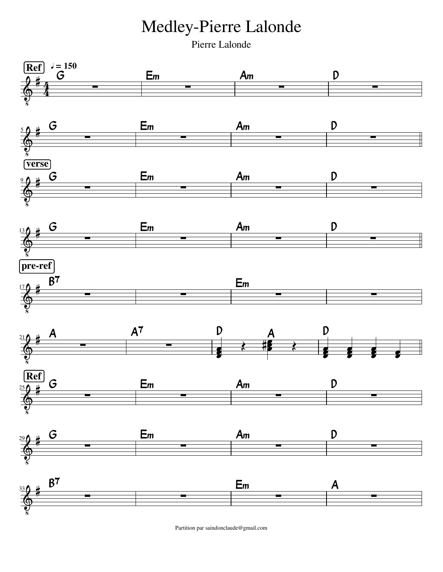## Medley-Pierre Lalonde

Pierre Lalonde

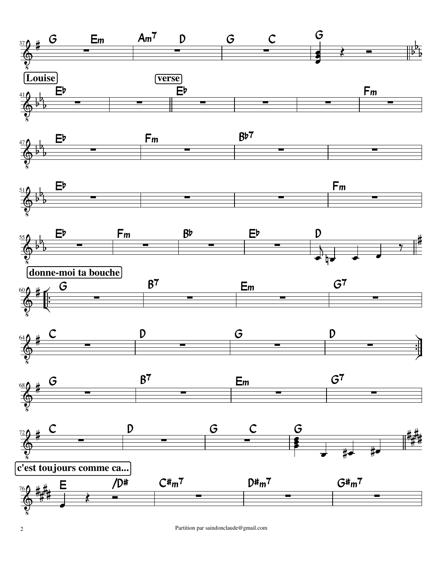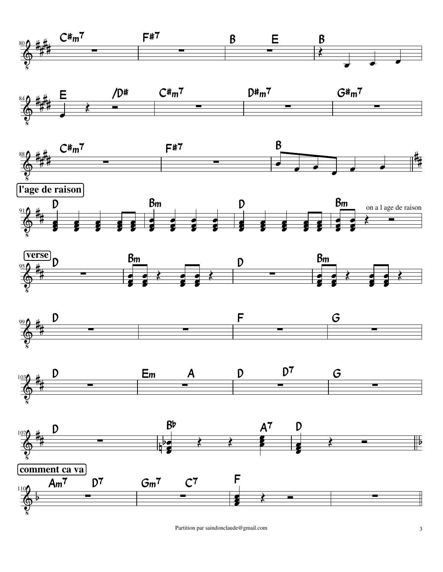![](_page_2_Figure_0.jpeg)

![](_page_2_Figure_1.jpeg)

![](_page_2_Figure_2.jpeg)

**l'age de raison**

![](_page_2_Figure_4.jpeg)

![](_page_2_Figure_5.jpeg)

![](_page_2_Figure_6.jpeg)

![](_page_2_Figure_7.jpeg)

![](_page_2_Figure_8.jpeg)